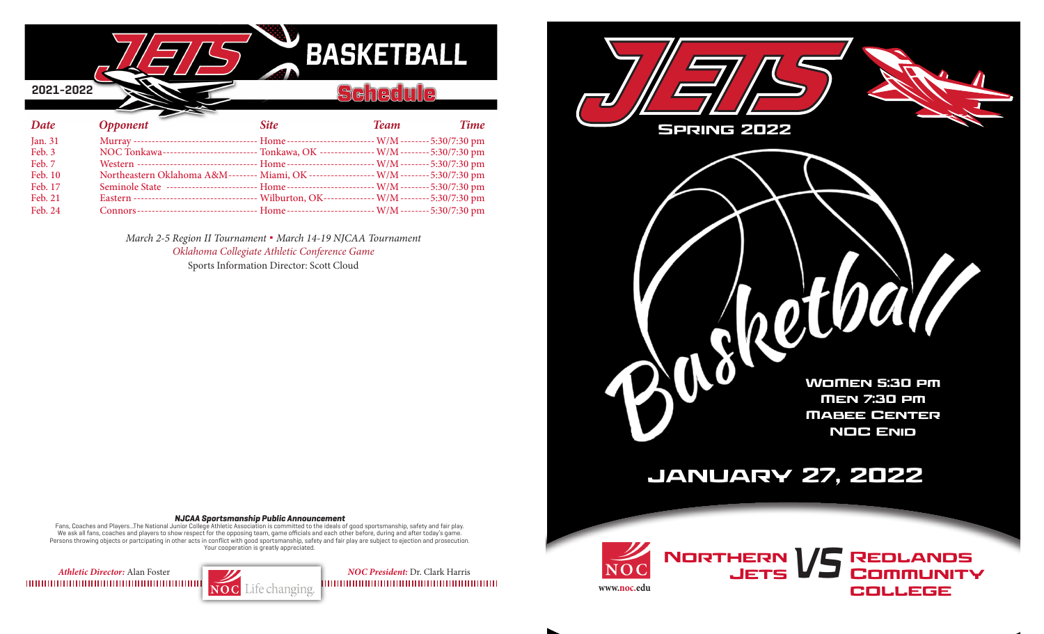| <b>BASKETBALL</b><br>2021-2022<br>ē. |                                                                                                   |             |             |             |  |  |  |
|--------------------------------------|---------------------------------------------------------------------------------------------------|-------------|-------------|-------------|--|--|--|
| Date                                 | <b>Opponent</b>                                                                                   | <b>Site</b> | <b>Team</b> | <b>Time</b> |  |  |  |
| Jan. 31                              |                                                                                                   |             |             |             |  |  |  |
| Feb. 3                               | NOC Tonkawa-------------------------- Tonkawa, OK --------------- W/M ------- 5:30/7:30 pm        |             |             |             |  |  |  |
| Feb. 7                               | Western ---------------------------------- Home ----------------------- W/M -------- 5:30/7:30 pm |             |             |             |  |  |  |
| Feb. 10                              | Northeastern Oklahoma A&M-------- Miami, OK ------------------ W/M ------- 5:30/7:30 pm           |             |             |             |  |  |  |
| Feb. 17                              | Seminole State ------------------------- Home------------------------ W/M-------- 5:30/7:30 pm    |             |             |             |  |  |  |
| Feb. 21                              | Eastern ----------------------------------- Wilburton, OK-------------- W/M -------- 5:30/7:30 pm |             |             |             |  |  |  |

*March 2-5 Region II Tournament* **.** *March 14-19 NJCAA Tournament Oklahoma Collegiate Athletic Conference Game* Sports Information Director: Scott Cloud

Feb. 24 Connors--------------------------------- Home ------------------------W/M--------5:30/7:30 pm



#### **NJCAA Sportsmanship Public Announcement**

Fans, Coaches and Players...The National Junior College Athletic Association is committed to the ideals of good sportsmanship, safety and fair play. We ask all fans, coaches and players to show respect for the opposing team, game officials and each other before, during and after today's game. Persons throwing objects or partcipating in other acts in conflict with good sportsmanship, safety and fair play are subject to ejection and prosecution. Your cooperation is greatly appreciated.

*Athletic Director: Alan Foster NOC President: Dr. Clark Harris NOC President: Dr. Clark Harris NOC President: Dr. Clark Harris*